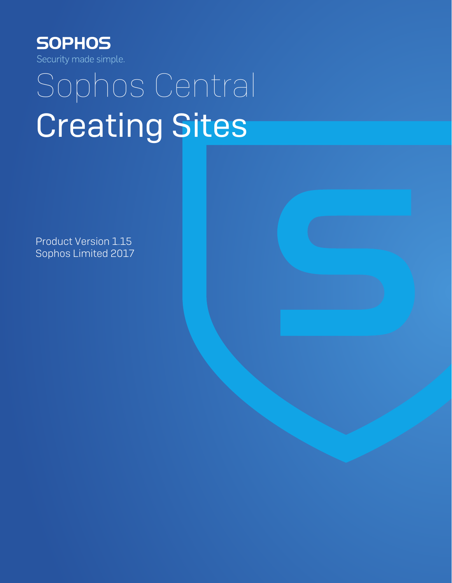

# Sophos Central Creating Sites

Product Version 1.15 Sophos Limited 2017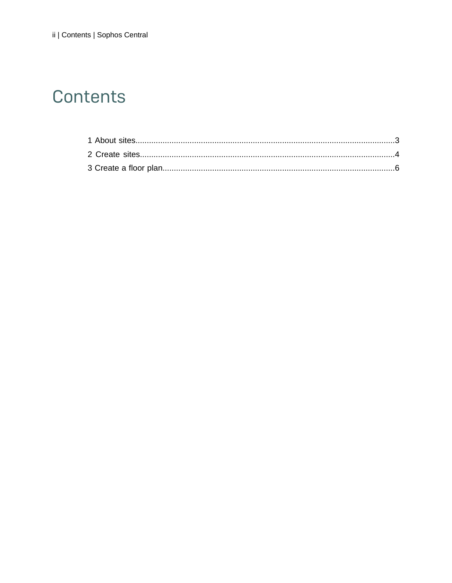# Contents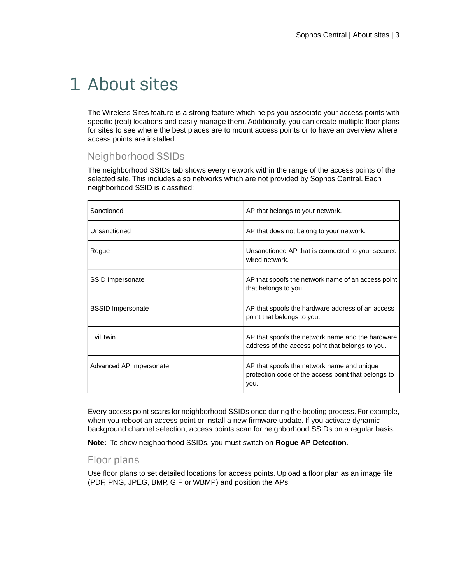# <span id="page-2-0"></span>1 About sites

The Wireless Sites feature is a strong feature which helps you associate your access points with specific (real) locations and easily manage them. Additionally, you can create multiple floor plans for sites to see where the best places are to mount access points or to have an overview where access points are installed.

## Neighborhood SSIDs

The neighborhood SSIDs tab shows every network within the range of the access points of the selected site. This includes also networks which are not provided by Sophos Central. Each neighborhood SSID is classified:

| Sanctioned               | AP that belongs to your network.                                                                          |
|--------------------------|-----------------------------------------------------------------------------------------------------------|
| Unsanctioned             | AP that does not belong to your network.                                                                  |
| Rogue                    | Unsanctioned AP that is connected to your secured<br>wired network.                                       |
| SSID Impersonate         | AP that spoofs the network name of an access point<br>that belongs to you.                                |
| <b>BSSID Impersonate</b> | AP that spoofs the hardware address of an access<br>point that belongs to you.                            |
| Fvil Twin                | AP that spoofs the network name and the hardware<br>address of the access point that belongs to you.      |
| Advanced AP Impersonate  | AP that spoofs the network name and unique<br>protection code of the access point that belongs to<br>you. |

Every access point scans for neighborhood SSIDs once during the booting process. For example, when you reboot an access point or install a new firmware update. If you activate dynamic background channel selection, access points scan for neighborhood SSIDs on a regular basis.

**Note:** To show neighborhood SSIDs, you must switch on **Rogue AP Detection**.

## Floor plans

Use floor plans to set detailed locations for access points. Upload a floor plan as an image file (PDF, PNG, JPEG, BMP, GIF or WBMP) and position the APs.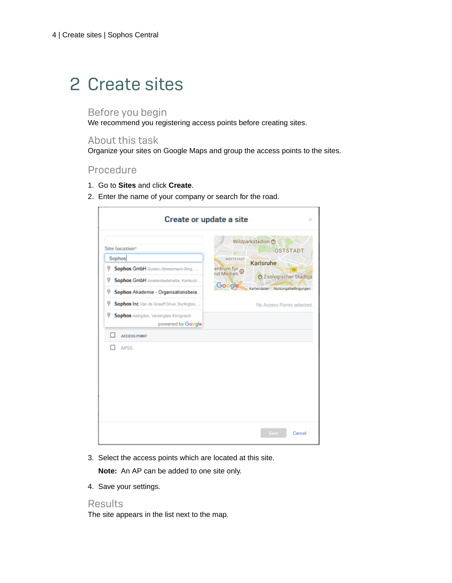# <span id="page-3-0"></span>2 Create sites

## Before you begin

We recommend you registering access points before creating sites.

## About this task

Organize your sites on Google Maps and group the access points to the sites.

### Procedure

- 1. Go to **Sites** and click **Create**.
- 2. Enter the name of your company or search for the road.

| Wildparkstadion <b>@</b><br><b>OSTSTADT</b><br>Sophos<br>WESTSTADT<br>Karlsruhe<br>Sophos GmbH Gustav-Stresemann-Ring,<br>entrum für<br>nd Medien<br>10<br>20ologischer Stadtga<br>Sophos GmbH Amalenbadstraße, Karlsruh<br>Q<br>Google<br>Kartendaten Nutzungsbedingungen<br>Q<br>Sophos Akademie - Organisationsbera<br>Sophos Inc Van de Graaff Drive, Burlington,<br>Q<br>No Access Points selected.<br>Sophos Abingdon, Vereinigtes Königreich<br>powered by Google<br><b>ACCESS POINT</b><br><b>AP55</b> | Create or update a site | ×              |
|----------------------------------------------------------------------------------------------------------------------------------------------------------------------------------------------------------------------------------------------------------------------------------------------------------------------------------------------------------------------------------------------------------------------------------------------------------------------------------------------------------------|-------------------------|----------------|
|                                                                                                                                                                                                                                                                                                                                                                                                                                                                                                                | Site location*          |                |
|                                                                                                                                                                                                                                                                                                                                                                                                                                                                                                                |                         |                |
|                                                                                                                                                                                                                                                                                                                                                                                                                                                                                                                |                         |                |
|                                                                                                                                                                                                                                                                                                                                                                                                                                                                                                                |                         |                |
|                                                                                                                                                                                                                                                                                                                                                                                                                                                                                                                |                         | Save<br>Cancel |

3. Select the access points which are located at this site.

**Note:** An AP can be added to one site only.

4. Save your settings.

#### Results

The site appears in the list next to the map.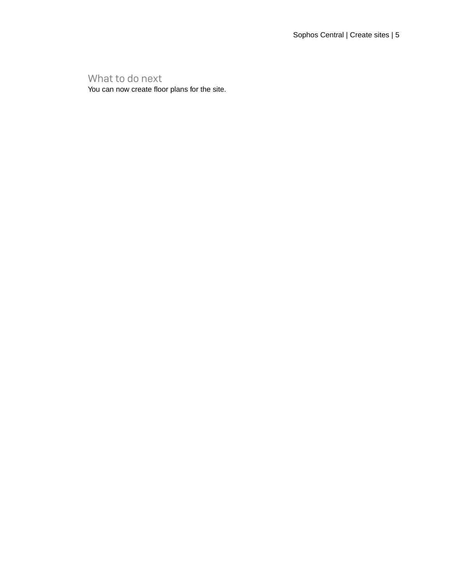What to do next

You can now create floor plans for the site.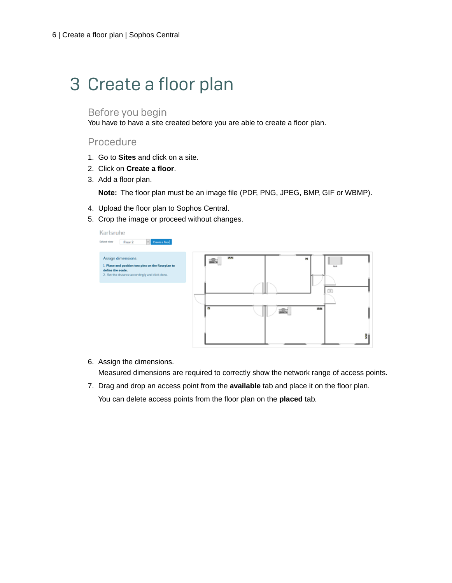# <span id="page-5-0"></span>3 Create a floor plan

#### Before you begin

You have to have a site created before you are able to create a floor plan.

#### Procedure

- 1. Go to **Sites** and click on a site.
- 2. Click on **Create a floor**.
- 3. Add a floor plan.

**Note:** The floor plan must be an image file (PDF, PNG, JPEG, BMP, GIF or WBMP).

- 4. Upload the floor plan to Sophos Central.
- 5. Crop the image or proceed without changes.



6. Assign the dimensions.

Measured dimensions are required to correctly show the network range of access points.

7. Drag and drop an access point from the **available** tab and place it on the floor plan. You can delete access points from the floor plan on the **placed** tab.